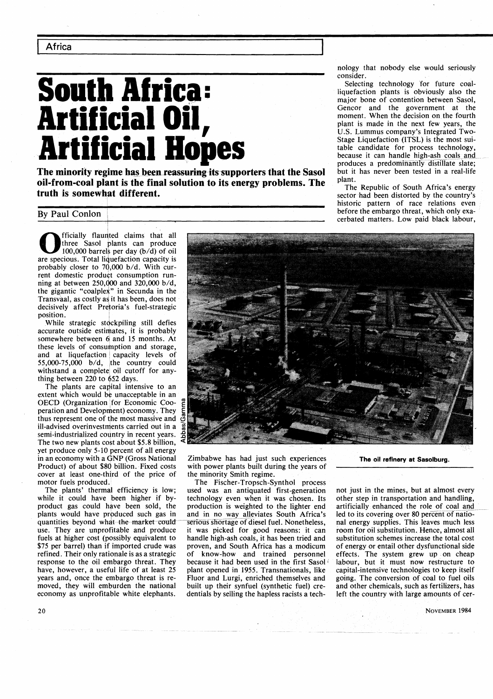**Africa** 

# South Africa: Selecting technology for future coal-<br>
South **Africa:** Selection plants is obviously also the<br>
major bone of contention between Sasol. **Artificial Oil, Art if icial Hopes**

**The minority regime has been reassuring its supporters that the Sasol but it cil from equal plant. oil-from-coal plant is the final solution to its energy problems. The** plant.<br> **truth is somewhat different.** <br> **sector had been distorted by the country's** 

**0 and 10 Finally flaunted claims that all three Sasol plants can produce** 100,000 barrels per day (b/d) of oil are specious. Total liquefaction capacity is three Sasol plants can produce 100,000 barrels per day  $(b/d)$  of oil probably closer to  $70,000$  b/d. With current domestic produet consumption running at between 250,000 and 320,000 b/d, the gigantic "coalplex" in Secunda in the Transvaal, as costly as it has been, does not decisively affect Prekoria's fuel-strategic position.

I

While strategic stdckpiling still defies accurate outside estimates, it is probably somewhere between 6 and 15 months. At these levels of consumption and storage, and at liquefaction capacity levels of 55,000-75,000 b/d, lthe country could withstand a complete oil cutoff for anything between 220 to 652 days.

The plants are capital intensive to an extent which would be unacceptable in an OECD (Organization for Economic Cooperation and Development) economy. They thus represent one of the most massive and ill-advised overinvestments carried out in a semi-industrialized country in recent years. The two new plants cost about \$5.8 billion, yet produce only 5-10 percent of all energy in an economy with a GNP (Gross National Product) of about \$80 billion. Fixed costs cover at least one-third of the price of motor fuels produced.

The plants' thermal efficiency is low; while it could have been higher if byproduct gas could have been sold, the plants would have prpduced such gas in quantities beyond what the market could use. They are unprofitable and produce fuels at higher cost (possibly equivalent to \$75 per barrel) than if imported crude was refined. Their only rationale is as a strategic response to the oil embargo threat. They have, however, a useful life of at least 25 years and, once the embargo threat is removed, they will emburden the national economy as unprofitable white elephants.

nology that nobody else would seriously

liquefaction plants is obviously also the major bone of contention between Sasol, Gencor and the government at the moment. When the decision on the fourth plant is made in the next few years, the U.S. Lummus company's Integrated Two-Stage Liquefaction (ITSL) is the most suitable candidate for process technology, because it can handle high-ash coals and produces a predominantly distillate slate;<br>but it has never been tested in a real-life

historic pattern of race relations even By Paul Conlon before the embargo threat, which only exa-<br>
By Paul Conlon cerbated matters. Low paid black labour,

Zimbabwe has had just such experiences with power plants built during the years of the minority Smith regime.

The Fischer-Tropsch-Synthol process used was an antiquated first-generation technology even when it was chosen. Its production is weighted to the lighter end and in no way alleviates South Africa's serious shortage of diesel fuel. Nonetheless, it was picked for good reasons: it can handle high-ash coals, it has been tried and proven, and South Africa has a modicum of know-how and trained personnel because it had been used in the first Sasol plant opened in 1955. Transnationals, like Fluor and Lurgi, enriched themselves and built up their synfuel (synthetic fuel) credentials by selling the hapless racists a tech**The oil refinery at Sasolburg.** 

not just in the mines, but at almost every other step in transportation and handling, artificially enhanced the role of coal and led to its covering over 80 percent of national energy supplies. This leaves much less room for oil substitution. Hence, almost all substitution schemes increase the total cost of energy or entail other dysfunctional side effects. The system grew up on cheap labour, but it must now restructure to capital-intensive technologies to keep itself going. The conversion of coal to fuel oils and other chemicals, such as fertilizers, has left the country with large amounts of cer-